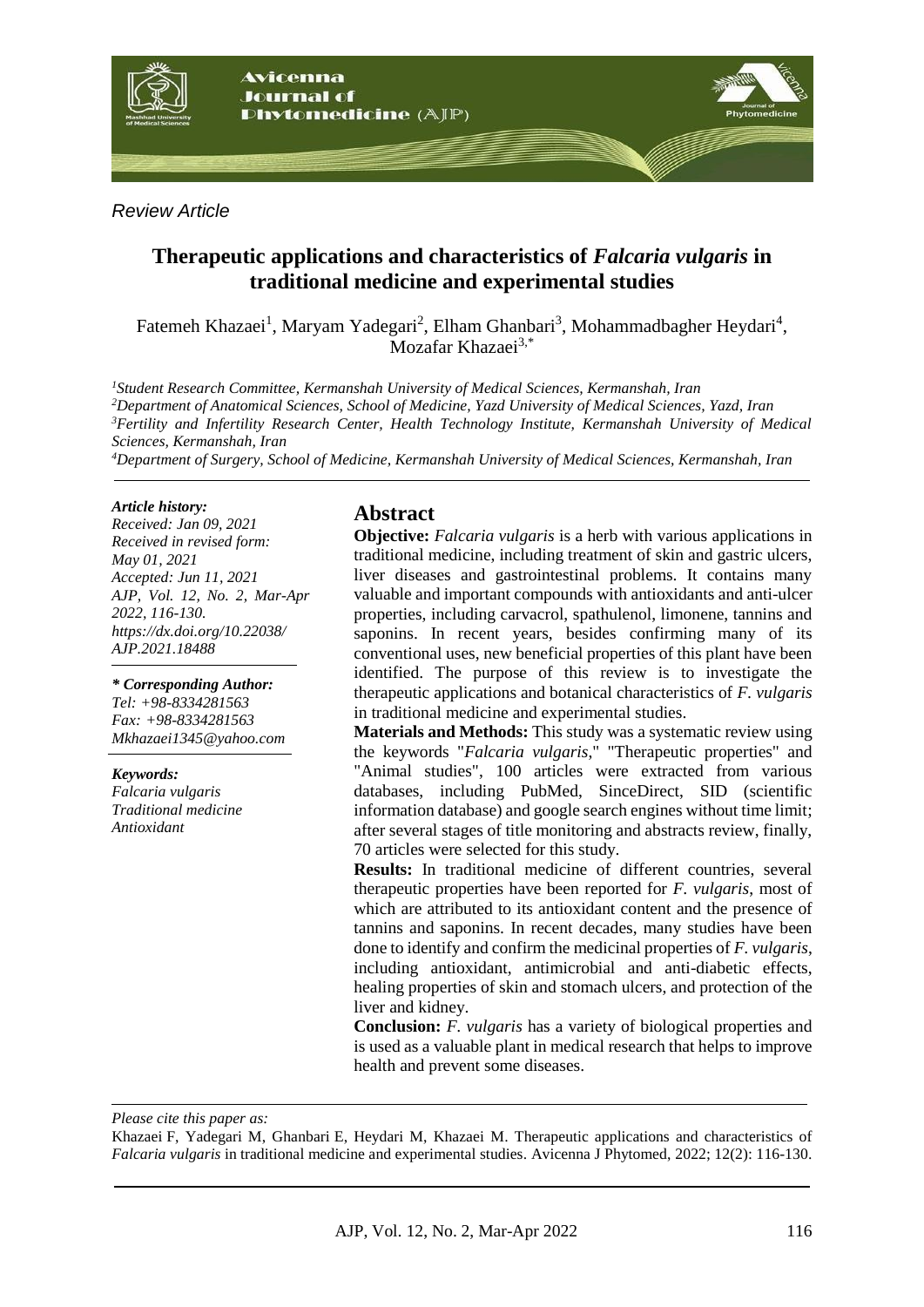

*Review Article*

# **Therapeutic applications and characteristics of** *Falcaria vulgaris* **in traditional medicine and experimental studies**

Fatemeh Khazaei<sup>1</sup>, Maryam Yadegari<sup>2</sup>, Elham Ghanbari<sup>3</sup>, Mohammadbagher Heydari<sup>4</sup>, Mozafar Khazaei<sup>3,\*</sup>

*Student Research Committee, Kermanshah University of Medical Sciences, Kermanshah, Iran Department of Anatomical Sciences, School of Medicine, Yazd University of Medical Sciences, Yazd, Iran Fertility and Infertility Research Center, Health Technology Institute, Kermanshah University of Medical Sciences, Kermanshah, Iran*

*<sup>4</sup>Department of Surgery, School of Medicine, Kermanshah University of Medical Sciences, Kermanshah, Iran*

#### *Article history:*

*Received: Jan 09, 2021 Received in revised form: May 01, 2021 Accepted: Jun 11, 2021 AJP, Vol. 12, No. 2, Mar-Apr 2022, 116-130. https://dx.doi.org/10.22038/ AJP.2021.18488*

*\* Corresponding Author: Tel: +98-8334281563 Fax: +98-8334281563 Mkhazaei1345@yahoo.com*

#### *Keywords:*

*Falcaria vulgaris Traditional medicine Antioxidant*

# **Abstract**

**Objective:** *Falcaria vulgaris* is a herb with various applications in traditional medicine, including treatment of skin and gastric ulcers, liver diseases and gastrointestinal problems. It contains many valuable and important compounds with antioxidants and anti-ulcer properties, including carvacrol, spathulenol, limonene, tannins and saponins. In recent years, besides confirming many of its conventional uses, new beneficial properties of this plant have been identified. The purpose of this review is to investigate the therapeutic applications and botanical characteristics of *F. vulgaris* in traditional medicine and experimental studies.

**Materials and Methods:** This study was a systematic review using the keywords "*Falcaria vulgaris*," "Therapeutic properties" and "Animal studies", 100 articles were extracted from various databases, including PubMed, SinceDirect, SID (scientific information database) and google search engines without time limit; after several stages of title monitoring and abstracts review, finally, 70 articles were selected for this study.

**Results:** In traditional medicine of different countries, several therapeutic properties have been reported for *F. vulgaris*, most of which are attributed to its antioxidant content and the presence of tannins and saponins. In recent decades, many studies have been done to identify and confirm the medicinal properties of *F. vulgaris*, including antioxidant, antimicrobial and anti-diabetic effects, healing properties of skin and stomach ulcers, and protection of the liver and kidney.

**Conclusion:** *F. vulgaris* has a variety of biological properties and is used as a valuable plant in medical research that helps to improve health and prevent some diseases.

*Please cite this paper as:* 

Khazaei F, Yadegari M, Ghanbari E, Heydari M, Khazaei M. Therapeutic applications and characteristics of *Falcaria vulgaris* in traditional medicine and experimental studies. Avicenna J Phytomed, 2022; 12(2): 116-130.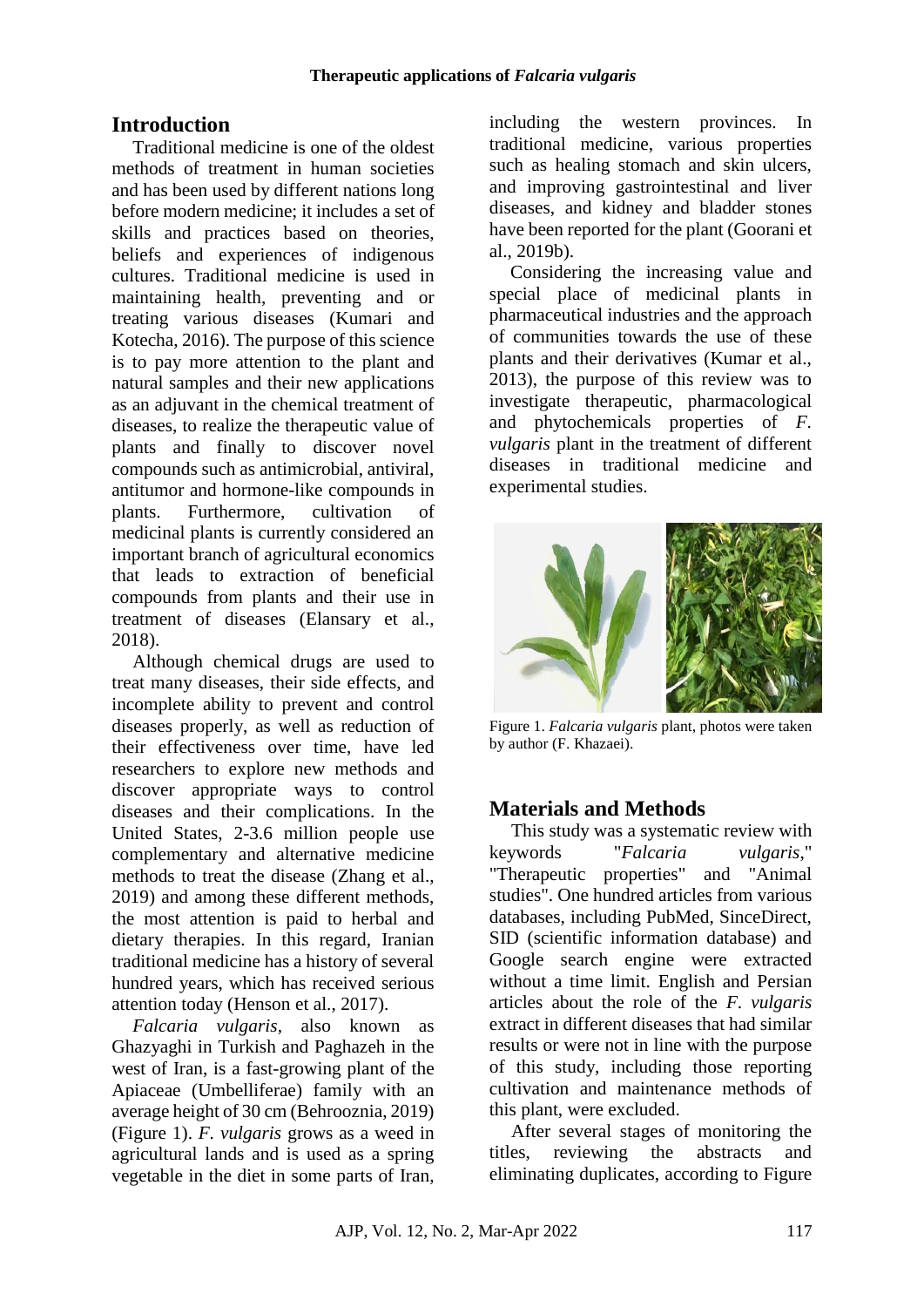# **Introduction**

Traditional medicine is one of the oldest methods of treatment in human societies and has been used by different nations long before modern medicine; it includes a set of skills and practices based on theories, beliefs and experiences of indigenous cultures. Traditional medicine is used in maintaining health, preventing and or treating various diseases (Kumari and Kotecha, 2016). The purpose of this science is to pay more attention to the plant and natural samples and their new applications as an adjuvant in the chemical treatment of diseases, to realize the therapeutic value of plants and finally to discover novel compounds such as antimicrobial, antiviral, antitumor and hormone-like compounds in plants. Furthermore, cultivation of medicinal plants is currently considered an important branch of agricultural economics that leads to extraction of beneficial compounds from plants and their use in treatment of diseases (Elansary et al., 2018).

Although chemical drugs are used to treat many diseases, their side effects, and incomplete ability to prevent and control diseases properly, as well as reduction of their effectiveness over time, have led researchers to explore new methods and discover appropriate ways to control diseases and their complications. In the United States, 2-3.6 million people use complementary and alternative medicine methods to treat the disease (Zhang et al., 2019) and among these different methods, the most attention is paid to herbal and dietary therapies. In this regard, Iranian traditional medicine has a history of several hundred years, which has received serious attention today (Henson et al., 2017).

*Falcaria vulgaris*, also known as Ghazyaghi in Turkish and Paghazeh in the west of Iran, is a fast-growing plant of the Apiaceae (Umbelliferae) family with an average height of 30 cm (Behrooznia, 2019) (Figure 1). *F. vulgaris* grows as a weed in agricultural lands and is used as a spring vegetable in the diet in some parts of Iran, including the western provinces. In traditional medicine, various properties such as healing stomach and skin ulcers, and improving gastrointestinal and liver diseases, and kidney and bladder stones have been reported for the plant (Goorani et al., 2019b).

Considering the increasing value and special place of medicinal plants in pharmaceutical industries and the approach of communities towards the use of these plants and their derivatives (Kumar et al., 2013), the purpose of this review was to investigate therapeutic, pharmacological and phytochemicals properties of *F. vulgaris* plant in the treatment of different diseases in traditional medicine and experimental studies.



Figure 1. *Falcaria vulgaris* plant, photos were taken by author (F. Khazaei).

# **Materials and Methods**

This study was a systematic review with keywords "*Falcaria vulgaris*," "Therapeutic properties" and "Animal studies". One hundred articles from various databases, including PubMed, SinceDirect, SID (scientific information database) and Google search engine were extracted without a time limit. English and Persian articles about the role of the *F. vulgaris* extract in different diseases that had similar results or were not in line with the purpose of this study, including those reporting cultivation and maintenance methods of this plant, were excluded.

After several stages of monitoring the titles, reviewing the abstracts and eliminating duplicates, according to Figure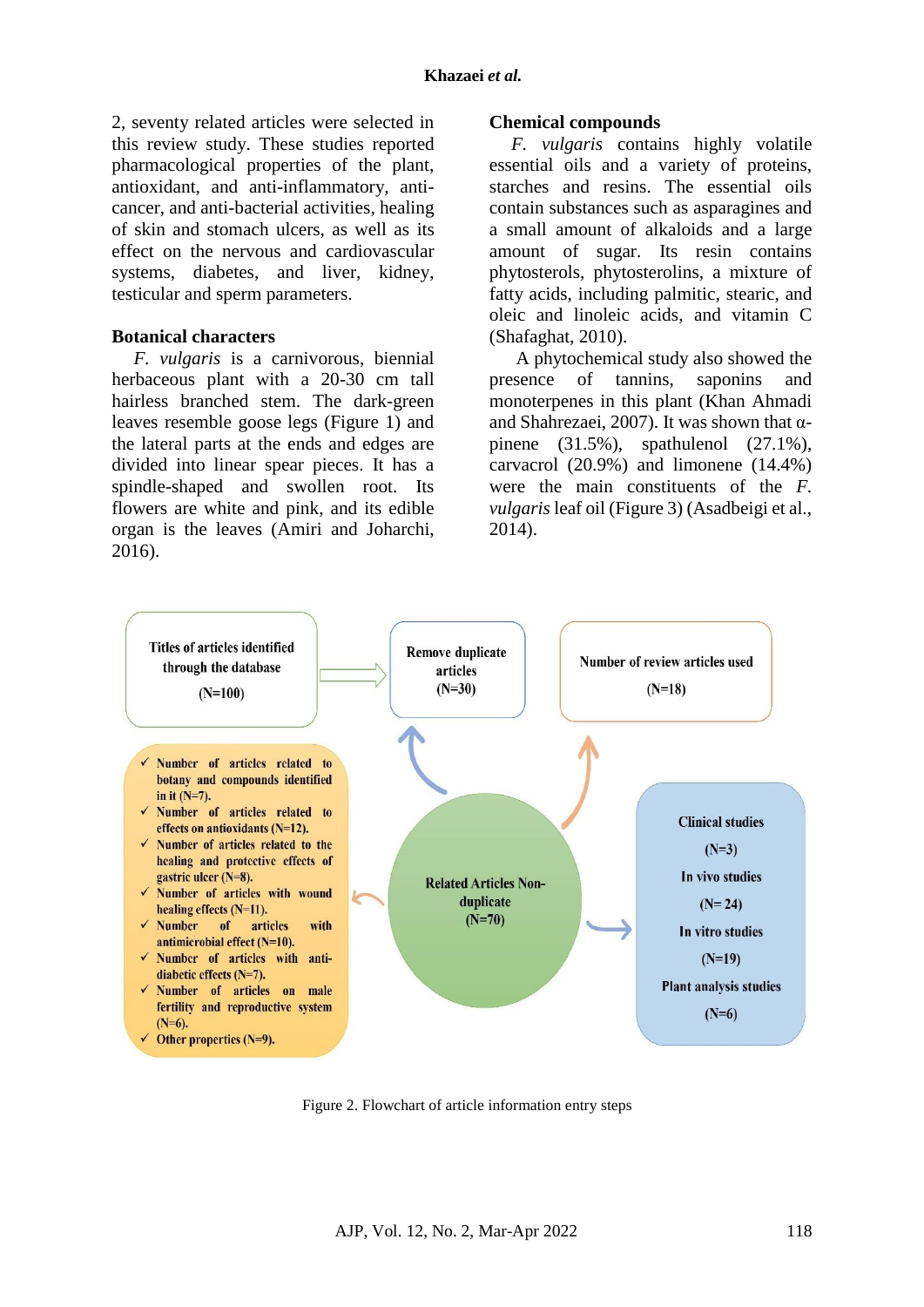2, seventy related articles were selected in this review study. These studies reported pharmacological properties of the plant, antioxidant, and anti-inflammatory, anticancer, and anti-bacterial activities, healing of skin and stomach ulcers, as well as its effect on the nervous and cardiovascular systems, diabetes, and liver, kidney, testicular and sperm parameters.

#### **Botanical characters**

*F. vulgaris* is a carnivorous, biennial herbaceous plant with a 20-30 cm tall hairless branched stem. The dark-green leaves resemble goose legs (Figure 1) and the lateral parts at the ends and edges are divided into linear spear pieces. It has a spindle-shaped and swollen root. Its flowers are white and pink, and its edible organ is the leaves (Amiri and Joharchi, 2016).

#### **Chemical compounds**

*F. vulgaris* contains highly volatile essential oils and a variety of proteins, starches and resins. The essential oils contain substances such as asparagines and a small amount of alkaloids and a large amount of sugar. Its resin contains phytosterols, phytosterolins, a mixture of fatty acids, including palmitic, stearic, and oleic and linoleic acids, and vitamin C (Shafaghat, 2010).

A phytochemical study also showed the presence of tannins, saponins and monoterpenes in this plant (Khan Ahmadi and Shahrezaei, 2007). It was shown that αpinene (31.5%), spathulenol (27.1%), carvacrol (20.9%) and limonene (14.4%) were the main constituents of the *F. vulgaris* leaf oil (Figure 3) (Asadbeigi et al., 2014).



Figure 2. Flowchart of article information entry steps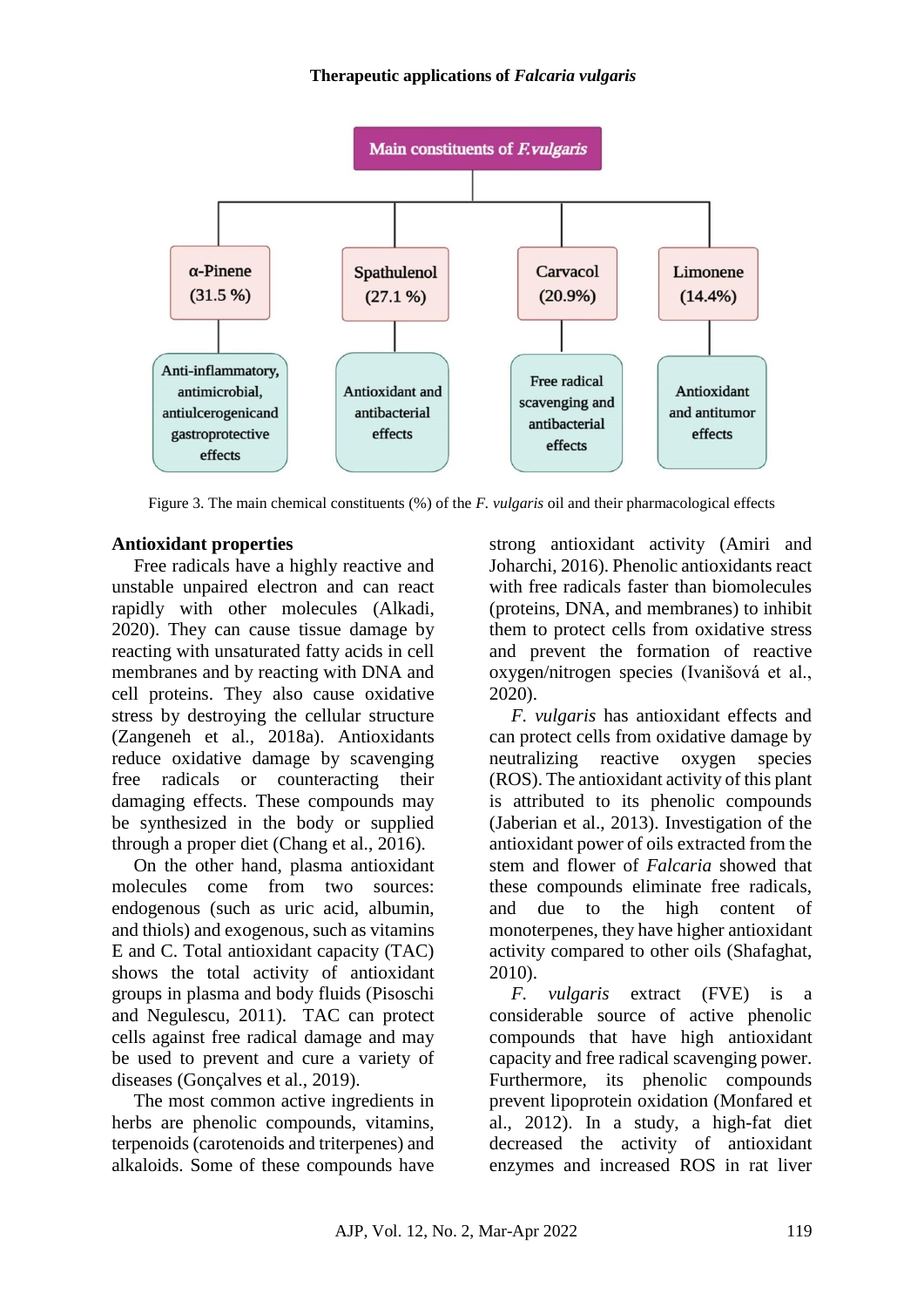

Figure 3. The main chemical constituents (%) of the *F. vulgaris* oil and their pharmacological effects

## **Antioxidant properties**

Free radicals have a highly reactive and unstable unpaired electron and can react rapidly with other molecules (Alkadi, 2020). They can cause tissue damage by reacting with unsaturated fatty acids in cell membranes and by reacting with DNA and cell proteins. They also cause oxidative stress by destroying the cellular structure (Zangeneh et al., 2018a). Antioxidants reduce oxidative damage by scavenging free radicals or counteracting their damaging effects. These compounds may be synthesized in the body or supplied through a proper diet (Chang et al., 2016).

On the other hand, plasma antioxidant molecules come from two sources: endogenous (such as uric acid, albumin, and thiols) and exogenous, such as vitamins E and C. Total antioxidant capacity (TAC) shows the total activity of antioxidant groups in plasma and body fluids (Pisoschi and Negulescu, 2011). TAC can protect cells against free radical damage and may be used to prevent and cure a variety of diseases (Gonçalves et al., 2019).

The most common active ingredients in herbs are phenolic compounds, vitamins, terpenoids (carotenoids and triterpenes) and alkaloids. Some of these compounds have strong antioxidant activity (Amiri and Joharchi, 2016). Phenolic antioxidants react with free radicals faster than biomolecules (proteins, DNA, and membranes) to inhibit them to protect cells from oxidative stress and prevent the formation of reactive oxygen/nitrogen species (Ivanišová et al., 2020).

*F. vulgaris* has antioxidant effects and can protect cells from oxidative damage by neutralizing reactive oxygen species (ROS). The antioxidant activity of this plant is attributed to its phenolic compounds (Jaberian et al., 2013). Investigation of the antioxidant power of oils extracted from the stem and flower of *Falcaria* showed that these compounds eliminate free radicals, and due to the high content of monoterpenes, they have higher antioxidant activity compared to other oils (Shafaghat, 2010).

*F. vulgaris* extract (FVE) is a considerable source of active phenolic compounds that have high antioxidant capacity and free radical scavenging power. Furthermore, its phenolic compounds prevent lipoprotein oxidation (Monfared et al., 2012). In a study, a high-fat diet decreased the activity of antioxidant enzymes and increased ROS in rat liver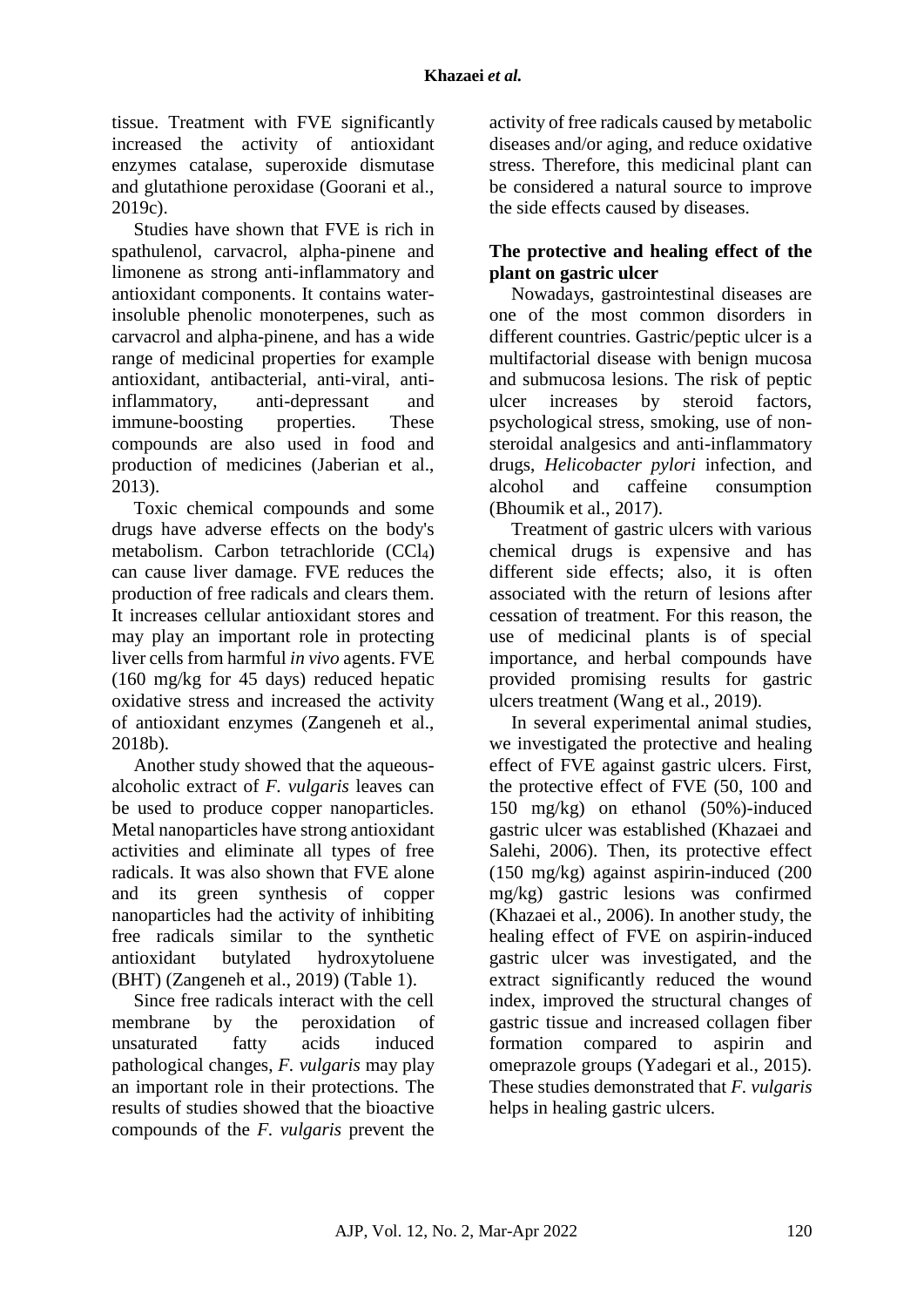tissue. Treatment with FVE significantly increased the activity of antioxidant enzymes catalase, superoxide dismutase and glutathione peroxidase (Goorani et al., 2019c).

Studies have shown that FVE is rich in spathulenol, carvacrol, alpha-pinene and limonene as strong anti-inflammatory and antioxidant components. It contains waterinsoluble phenolic monoterpenes, such as carvacrol and alpha-pinene, and has a wide range of medicinal properties for example antioxidant, antibacterial, anti-viral, antiinflammatory, anti-depressant and immune-boosting properties. These compounds are also used in food and production of medicines (Jaberian et al., 2013).

Toxic chemical compounds and some drugs have adverse effects on the body's metabolism. Carbon tetrachloride (CCl4) can cause liver damage. FVE reduces the production of free radicals and clears them. It increases cellular antioxidant stores and may play an important role in protecting liver cells from harmful *in vivo* agents. FVE (160 mg/kg for 45 days) reduced hepatic oxidative stress and increased the activity of antioxidant enzymes (Zangeneh et al., 2018b).

Another study showed that the aqueousalcoholic extract of *F. vulgaris* leaves can be used to produce copper nanoparticles. Metal nanoparticles have strong antioxidant activities and eliminate all types of free radicals. It was also shown that FVE alone and its green synthesis of copper nanoparticles had the activity of inhibiting free radicals similar to the synthetic antioxidant butylated hydroxytoluene (BHT) (Zangeneh et al., 2019) (Table 1).

Since free radicals interact with the cell membrane by the peroxidation of unsaturated fatty acids induced pathological changes, *F. vulgaris* may play an important role in their protections. The results of studies showed that the bioactive compounds of the *F. vulgaris* prevent the

activity of free radicals caused by metabolic diseases and/or aging, and reduce oxidative stress. Therefore, this medicinal plant can be considered a natural source to improve the side effects caused by diseases.

## **The protective and healing effect of the plant on gastric ulcer**

Nowadays, gastrointestinal diseases are one of the most common disorders in different countries. Gastric/peptic ulcer is a multifactorial disease with benign mucosa and submucosa lesions. The risk of peptic ulcer increases by steroid factors, psychological stress, smoking, use of nonsteroidal analgesics and anti-inflammatory drugs, *Helicobacter pylori* infection, and alcohol and caffeine consumption (Bhoumik et al., 2017).

Treatment of gastric ulcers with various chemical drugs is expensive and has different side effects; also, it is often associated with the return of lesions after cessation of treatment. For this reason, the use of medicinal plants is of special importance, and herbal compounds have provided promising results for gastric ulcers treatment (Wang et al., 2019).

In several experimental animal studies, we investigated the protective and healing effect of FVE against gastric ulcers. First, the protective effect of FVE (50, 100 and 150 mg/kg) on ethanol (50%)-induced gastric ulcer was established (Khazaei and Salehi, 2006). Then, its protective effect (150 mg/kg) against aspirin-induced (200 mg/kg) gastric lesions was confirmed (Khazaei et al., 2006). In another study, the healing effect of FVE on aspirin-induced gastric ulcer was investigated, and the extract significantly reduced the wound index, improved the structural changes of gastric tissue and increased collagen fiber formation compared to aspirin and omeprazole groups (Yadegari et al., 2015). These studies demonstrated that *F. vulgaris* helps in healing gastric ulcers.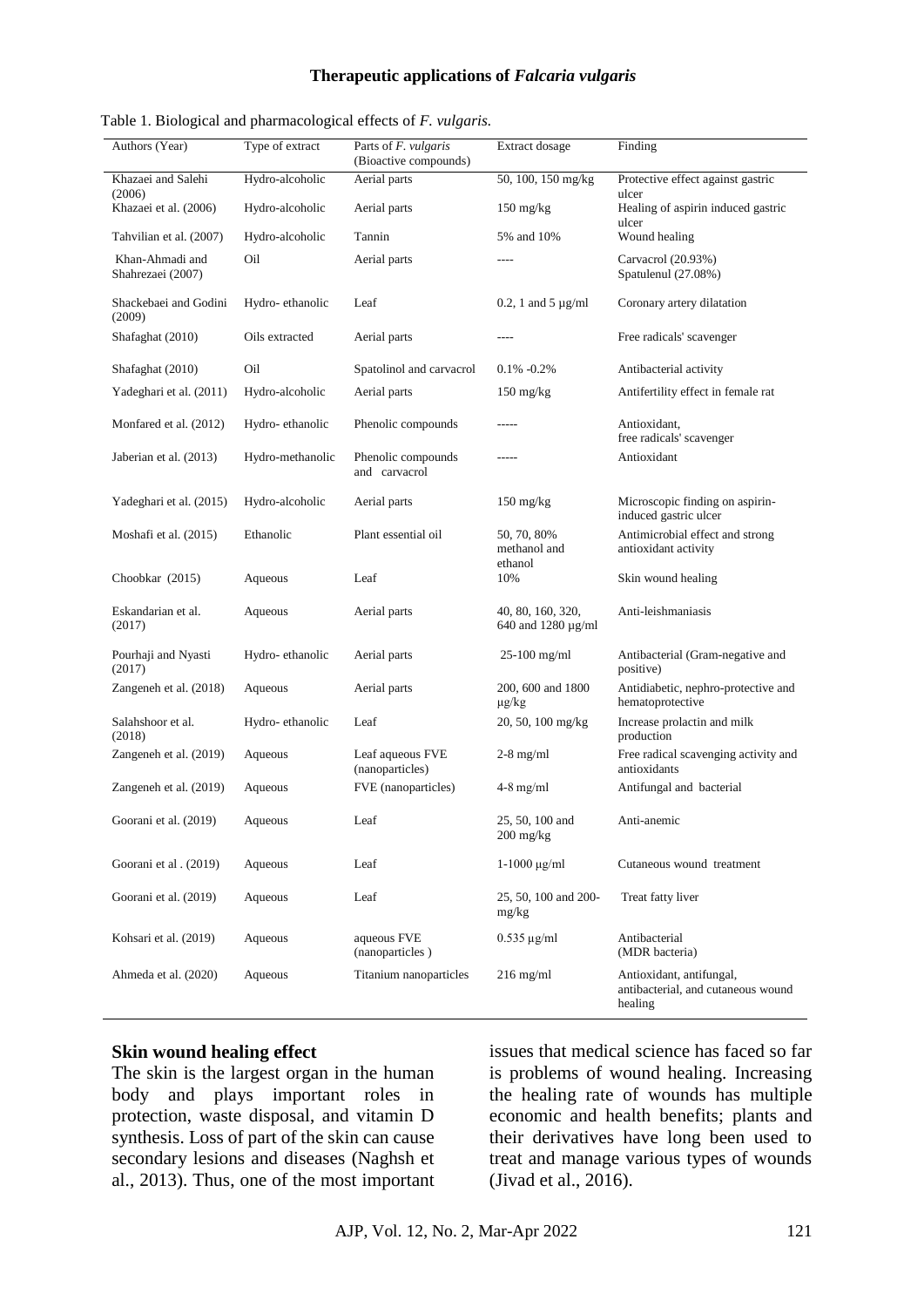#### **Therapeutic applications of** *Falcaria vulgaris*

|  | Table 1. Biological and pharmacological effects of F. vulgaris. |  |  |  |  |  |
|--|-----------------------------------------------------------------|--|--|--|--|--|
|--|-----------------------------------------------------------------|--|--|--|--|--|

| Authors (Year)                       | Type of extract  | Parts of F. vulgaris<br>(Bioactive compounds) | Extract dosage                          | Finding                                                                   |
|--------------------------------------|------------------|-----------------------------------------------|-----------------------------------------|---------------------------------------------------------------------------|
| Khazaei and Salehi<br>(2006)         | Hydro-alcoholic  | Aerial parts                                  | 50, 100, 150 mg/kg                      | Protective effect against gastric<br>ulcer                                |
| Khazaei et al. (2006)                | Hydro-alcoholic  | Aerial parts                                  | $150 \text{ mg/kg}$                     | Healing of aspirin induced gastric<br>ulcer                               |
| Tahvilian et al. (2007)              | Hydro-alcoholic  | Tannin                                        | 5% and 10%                              | Wound healing                                                             |
| Khan-Ahmadi and<br>Shahrezaei (2007) | Oil              | Aerial parts                                  | ----                                    | Carvacrol (20.93%)<br>Spatulenul (27.08%)                                 |
| Shackebaei and Godini<br>(2009)      | Hydro-ethanolic  | Leaf                                          | 0.2, 1 and 5 $\mu$ g/ml                 | Coronary artery dilatation                                                |
| Shafaghat (2010)                     | Oils extracted   | Aerial parts                                  | ----                                    | Free radicals' scavenger                                                  |
| Shafaghat (2010)                     | Oil              | Spatolinol and carvacrol                      | $0.1\% -0.2\%$                          | Antibacterial activity                                                    |
| Yadeghari et al. (2011)              | Hydro-alcoholic  | Aerial parts                                  | $150 \text{ mg/kg}$                     | Antifertility effect in female rat                                        |
| Monfared et al. (2012)               | Hydro-ethanolic  | Phenolic compounds                            | -----                                   | Antioxidant,<br>free radicals' scavenger                                  |
| Jaberian et al. (2013)               | Hydro-methanolic | Phenolic compounds<br>and carvacrol           | -----                                   | Antioxidant                                                               |
| Yadeghari et al. (2015)              | Hydro-alcoholic  | Aerial parts                                  | $150 \text{ mg/kg}$                     | Microscopic finding on aspirin-<br>induced gastric ulcer                  |
| Moshafi et al. (2015)                | Ethanolic        | Plant essential oil                           | 50, 70, 80%<br>methanol and<br>ethanol  | Antimicrobial effect and strong<br>antioxidant activity                   |
| Choobkar (2015)                      | Aqueous          | Leaf                                          | 10%                                     | Skin wound healing                                                        |
| Eskandarian et al.<br>(2017)         | Aqueous          | Aerial parts                                  | 40, 80, 160, 320,<br>640 and 1280 µg/ml | Anti-leishmaniasis                                                        |
| Pourhaji and Nyasti<br>(2017)        | Hydro-ethanolic  | Aerial parts                                  | $25 - 100$ mg/ml                        | Antibacterial (Gram-negative and<br>positive)                             |
| Zangeneh et al. (2018)               | Aqueous          | Aerial parts                                  | 200, 600 and 1800<br>µg/kg              | Antidiabetic, nephro-protective and<br>hematoprotective                   |
| Salahshoor et al.<br>(2018)          | Hydro-ethanolic  | Leaf                                          | 20, 50, 100 mg/kg                       | Increase prolactin and milk<br>production                                 |
| Zangeneh et al. (2019)               | Aqueous          | Leaf aqueous FVE<br>(nanoparticles)           | $2-8$ mg/ml                             | Free radical scavenging activity and<br>antioxidants                      |
| Zangeneh et al. (2019)               | Aqueous          | FVE (nanoparticles)                           | $4-8$ mg/ml                             | Antifungal and bacterial                                                  |
| Goorani et al. (2019)                | Aqueous          | Leaf                                          | 25, 50, 100 and<br>200 mg/kg            | Anti-anemic                                                               |
| Goorani et al. (2019)                | Aqueous          | Leaf                                          | $1-1000 \mu g/ml$                       | Cutaneous wound treatment                                                 |
| Goorani et al. (2019)                | Aqueous          | Leaf                                          | 25, 50, 100 and 200-<br>mg/kg           | Treat fatty liver                                                         |
| Kohsari et al. (2019)                | Aqueous          | aqueous FVE<br>(nanoparticles)                | $0.535 \mu g/ml$                        | Antibacterial<br>(MDR bacteria)                                           |
| Ahmeda et al. (2020)                 | Aqueous          | Titanium nanoparticles                        | $216$ mg/ml                             | Antioxidant, antifungal,<br>antibacterial, and cutaneous wound<br>healing |

### **Skin wound healing effect**

The skin is the largest organ in the human body and plays important roles in protection, waste disposal, and vitamin D synthesis. Loss of part of the skin can cause secondary lesions and diseases (Naghsh et al., 2013). Thus, one of the most important issues that medical science has faced so far is problems of wound healing. Increasing the healing rate of wounds has multiple economic and health benefits; plants and their derivatives have long been used to treat and manage various types of wounds (Jivad et al., 2016).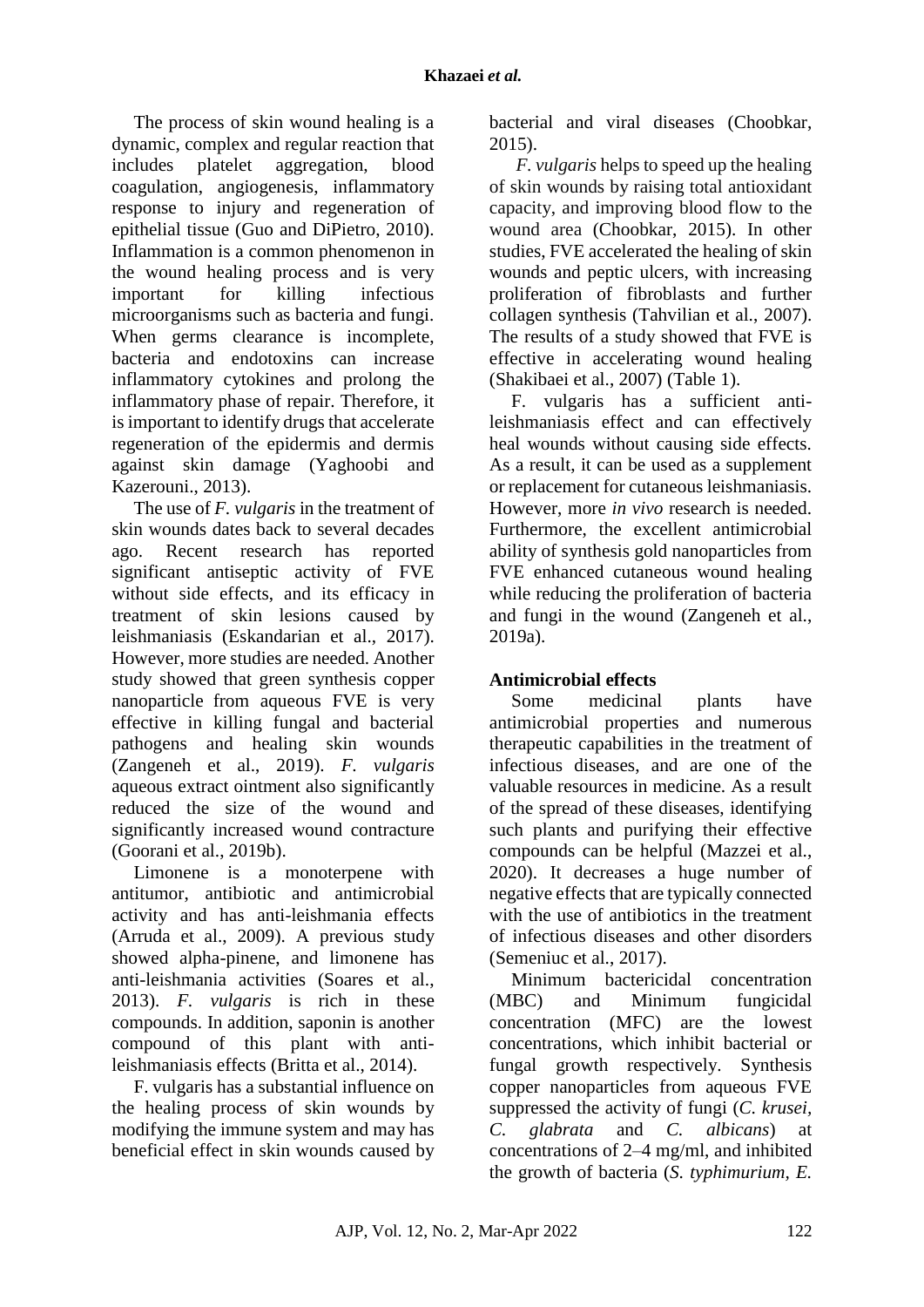The process of skin wound healing is a dynamic, complex and regular reaction that includes platelet aggregation, blood coagulation, angiogenesis, inflammatory response to injury and regeneration of epithelial tissue (Guo and DiPietro, 2010). Inflammation is a common phenomenon in the wound healing process and is very important for killing infectious microorganisms such as bacteria and fungi. When germs clearance is incomplete. bacteria and endotoxins can increase inflammatory cytokines and prolong the inflammatory phase of repair. Therefore, it is important to identify drugs that accelerate regeneration of the epidermis and dermis against skin damage (Yaghoobi and Kazerouni., 2013).

The use of *F. vulgaris* in the treatment of skin wounds dates back to several decades ago. Recent research has reported significant antiseptic activity of FVE without side effects, and its efficacy in treatment of skin lesions caused by leishmaniasis (Eskandarian et al., 2017). However, more studies are needed. Another study showed that green synthesis copper nanoparticle from aqueous FVE is very effective in killing fungal and bacterial pathogens and healing skin wounds (Zangeneh et al., 2019). *F. vulgaris* aqueous extract ointment also significantly reduced the size of the wound and significantly increased wound contracture (Goorani et al., 2019b).

Limonene is a monoterpene with antitumor, antibiotic and antimicrobial activity and has anti-leishmania effects (Arruda et al., 2009). A previous study showed alpha-pinene, and limonene has anti-leishmania activities (Soares et al., 2013). *F. vulgaris* is rich in these compounds. In addition, saponin is another compound of this plant with antileishmaniasis effects (Britta et al., 2014).

F. vulgaris has a substantial influence on the healing process of skin wounds by modifying the immune system and may has beneficial effect in skin wounds caused by

bacterial and viral diseases (Choobkar, 2015).

*F. vulgaris* helps to speed up the healing of skin wounds by raising total antioxidant capacity, and improving blood flow to the wound area (Choobkar, 2015). In other studies, FVE accelerated the healing of skin wounds and peptic ulcers, with increasing proliferation of fibroblasts and further collagen synthesis (Tahvilian et al., 2007). The results of a study showed that FVE is effective in accelerating wound healing (Shakibaei et al., 2007) (Table 1).

F. vulgaris has a sufficient antileishmaniasis effect and can effectively heal wounds without causing side effects. As a result, it can be used as a supplement or replacement for cutaneous leishmaniasis. However, more *in vivo* research is needed. Furthermore, the excellent antimicrobial ability of synthesis gold nanoparticles from FVE enhanced cutaneous wound healing while reducing the proliferation of bacteria and fungi in the wound (Zangeneh et al., 2019a).

# **Antimicrobial effects**

Some medicinal plants have antimicrobial properties and numerous therapeutic capabilities in the treatment of infectious diseases, and are one of the valuable resources in medicine. As a result of the spread of these diseases, identifying such plants and purifying their effective compounds can be helpful (Mazzei et al., 2020). It decreases a huge number of negative effects that are typically connected with the use of antibiotics in the treatment of infectious diseases and other disorders (Semeniuc et al., 2017).

Minimum bactericidal concentration (MBC) and Minimum fungicidal concentration (MFC) are the lowest concentrations, which inhibit bacterial or fungal growth respectively. Synthesis copper nanoparticles from aqueous FVE suppressed the activity of fungi (*C. krusei, C. glabrata* and *C. albicans*) at concentrations of 2–4 mg/ml, and inhibited the growth of bacteria (*S. typhimurium, E.*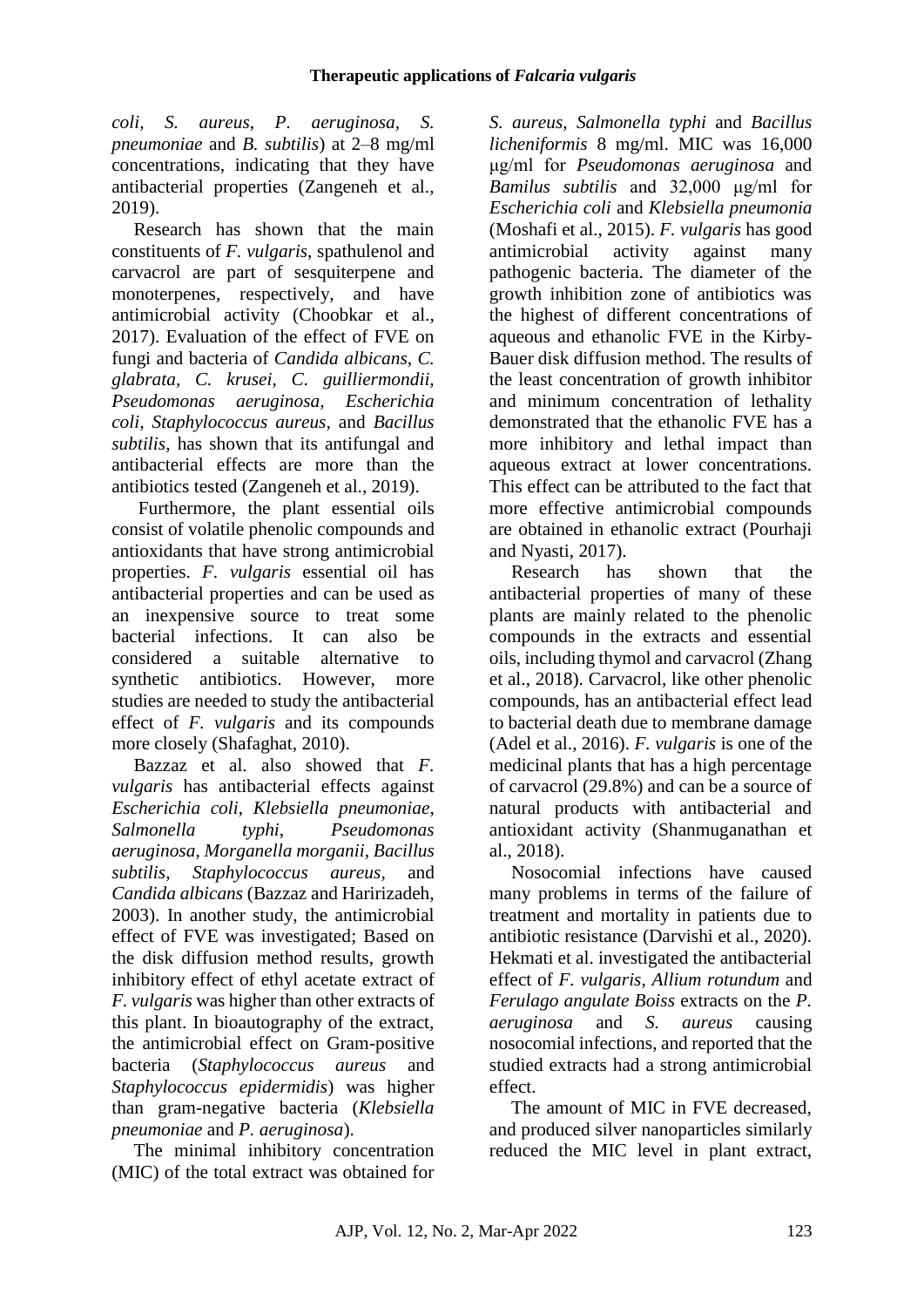*coli, S. aureus, P. aeruginosa, S. pneumoniae* and *B. subtilis*) at 2–8 mg/ml concentrations, indicating that they have antibacterial properties (Zangeneh et al., 2019).

Research has shown that the main constituents of *F. vulgaris*, spathulenol and carvacrol are part of sesquiterpene and monoterpenes, respectively, and have antimicrobial activity (Choobkar et al., 2017). Evaluation of the effect of FVE on fungi and bacteria of *Candida albicans*, *C. glabrata, C. krusei, C. guilliermondii, Pseudomonas aeruginosa, Escherichia coli, Staphylococcus aureus,* and *Bacillus subtilis*, has shown that its antifungal and antibacterial effects are more than the antibiotics tested (Zangeneh et al., 2019).

Furthermore, the plant essential oils consist of volatile phenolic compounds and antioxidants that have strong antimicrobial properties. *F. vulgaris* essential oil has antibacterial properties and can be used as an inexpensive source to treat some bacterial infections. It can also be considered a suitable alternative to synthetic antibiotics. However, more studies are needed to study the antibacterial effect of *F. vulgaris* and its compounds more closely (Shafaghat, 2010).

Bazzaz et al. also showed that *F. vulgaris* has antibacterial effects against *Escherichia coli*, *Klebsiella pneumoniae*, *Salmonella typhi*, *Pseudomonas aeruginosa*, *Morganella morganii*, *Bacillus subtilis*, *Staphylococcus aureus*, and *Candida albicans* (Bazzaz and Haririzadeh, 2003). In another study, the antimicrobial effect of FVE was investigated; Based on the disk diffusion method results, growth inhibitory effect of ethyl acetate extract of *F. vulgaris* was higher than other extracts of this plant. In bioautography of the extract, the antimicrobial effect on Gram-positive bacteria (*Staphylococcus aureus* and *Staphylococcus epidermidis*) was higher than gram-negative bacteria (*Klebsiella pneumoniae* and *P. aeruginosa*).

The minimal inhibitory concentration (MIC) of the total extract was obtained for

*S. aureus*, *Salmonella typhi* and *Bacillus licheniformis* 8 mg/ml. MIC was 16,000 μg/ml for *Pseudomonas aeruginosa* and *Bamilus subtilis* and 32,000 μg/ml for *Escherichia coli* and *Klebsiella pneumonia* (Moshafi et al., 2015). *F. vulgaris* has good antimicrobial activity against many pathogenic bacteria. The diameter of the growth inhibition zone of antibiotics was the highest of different concentrations of aqueous and ethanolic FVE in the Kirby-Bauer disk diffusion method. The results of the least concentration of growth inhibitor and minimum concentration of lethality demonstrated that the ethanolic FVE has a more inhibitory and lethal impact than aqueous extract at lower concentrations. This effect can be attributed to the fact that more effective antimicrobial compounds are obtained in ethanolic extract (Pourhaji and Nyasti, 2017).

Research has shown that the antibacterial properties of many of these plants are mainly related to the phenolic compounds in the extracts and essential oils, including thymol and carvacrol (Zhang et al., 2018). Carvacrol, like other phenolic compounds, has an antibacterial effect lead to bacterial death due to membrane damage (Adel et al., 2016). *F. vulgaris* is one of the medicinal plants that has a high percentage of carvacrol (29.8%) and can be a source of natural products with antibacterial and antioxidant activity (Shanmuganathan et al., 2018).

Nosocomial infections have caused many problems in terms of the failure of treatment and mortality in patients due to antibiotic resistance (Darvishi et al., 2020). Hekmati et al. investigated the antibacterial effect of *F. vulgaris*, *Allium rotundum* and *Ferulago angulate Boiss* extracts on the *P. aeruginosa* and *S. aureus* causing nosocomial infections, and reported that the studied extracts had a strong antimicrobial effect.

The amount of MIC in FVE decreased, and produced silver nanoparticles similarly reduced the MIC level in plant extract,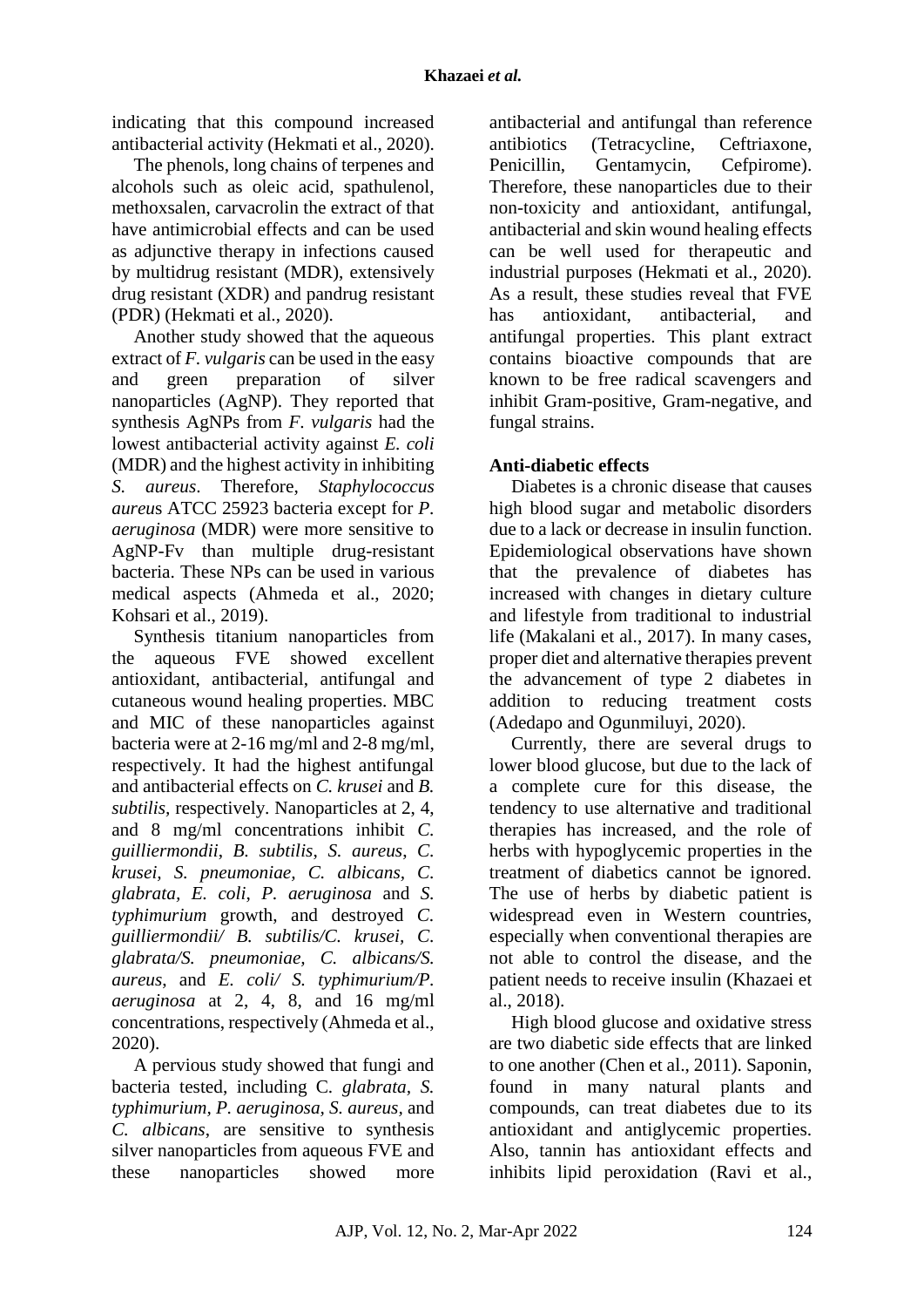indicating that this compound increased antibacterial activity (Hekmati et al., 2020).

The phenols, long chains of terpenes and alcohols such as oleic acid, spathulenol, methoxsalen, carvacrolin the extract of that have antimicrobial effects and can be used as adjunctive therapy in infections caused by multidrug resistant (MDR), extensively drug resistant (XDR) and pandrug resistant (PDR) (Hekmati et al., 2020).

Another study showed that the aqueous extract of *F. vulgaris* can be used in the easy and green preparation of silver nanoparticles (AgNP). They reported that synthesis AgNPs from *F. vulgaris* had the lowest antibacterial activity against *E. coli* (MDR) and the highest activity in inhibiting *S. aureus*. Therefore, *Staphylococcus aureu*s ATCC 25923 bacteria except for *P. aeruginosa* (MDR) were more sensitive to AgNP-Fv than multiple drug-resistant bacteria. These NPs can be used in various medical aspects (Ahmeda et al., 2020; Kohsari et al., 2019).

Synthesis titanium nanoparticles from the aqueous FVE showed excellent antioxidant, antibacterial, antifungal and cutaneous wound healing properties. MBC and MIC of these nanoparticles against bacteria were at 2-16 mg/ml and 2-8 mg/ml, respectively. It had the highest antifungal and antibacterial effects on *C. krusei* and *B. subtilis,* respectively. Nanoparticles at 2, 4, and 8 mg/ml concentrations inhibit *C. guilliermondii*, *B. subtilis*, *S. aureus*, *C. krusei, S. pneumoniae, C. albicans, C. glabrata, E. coli*, *P. aeruginosa* and *S. typhimurium* growth, and destroyed *C. guilliermondii/ B. subtilis/C. krusei, C. glabrata/S. pneumoniae, C. albicans/S. aureus*, and *E. coli/ S. typhimurium/P. aeruginosa* at 2, 4, 8, and 16 mg/ml concentrations, respectively (Ahmeda et al., 2020).

A pervious study showed that fungi and bacteria tested, including C*. glabrata, S. typhimurium, P. aeruginosa, S. aureus,* and *C. albicans*, are sensitive to synthesis silver nanoparticles from aqueous FVE and these nanoparticles showed more

antibacterial and antifungal than reference antibiotics (Tetracycline, Ceftriaxone, Penicillin, Gentamycin, Cefnirome). Therefore, these nanoparticles due to their non-toxicity and antioxidant, antifungal, antibacterial and skin wound healing effects can be well used for therapeutic and industrial purposes (Hekmati et al., 2020). As a result, these studies reveal that FVE has antioxidant, antibacterial, and antifungal properties. This plant extract contains bioactive compounds that are known to be free radical scavengers and inhibit Gram-positive, Gram-negative, and fungal strains.

# **Anti-diabetic effects**

Diabetes is a chronic disease that causes high blood sugar and metabolic disorders due to a lack or decrease in insulin function. Epidemiological observations have shown that the prevalence of diabetes has increased with changes in dietary culture and lifestyle from traditional to industrial life (Makalani et al., 2017). In many cases, proper diet and alternative therapies prevent the advancement of type 2 diabetes in addition to reducing treatment costs (Adedapo and Ogunmiluyi, 2020).

Currently, there are several drugs to lower blood glucose, but due to the lack of a complete cure for this disease, the tendency to use alternative and traditional therapies has increased, and the role of herbs with hypoglycemic properties in the treatment of diabetics cannot be ignored. The use of herbs by diabetic patient is widespread even in Western countries, especially when conventional therapies are not able to control the disease, and the patient needs to receive insulin (Khazaei et al., 2018).

High blood glucose and oxidative stress are two diabetic side effects that are linked to one another (Chen et al., 2011). Saponin, found in many natural plants and compounds, can treat diabetes due to its antioxidant and antiglycemic properties. Also, tannin has antioxidant effects and inhibits lipid peroxidation (Ravi et al.,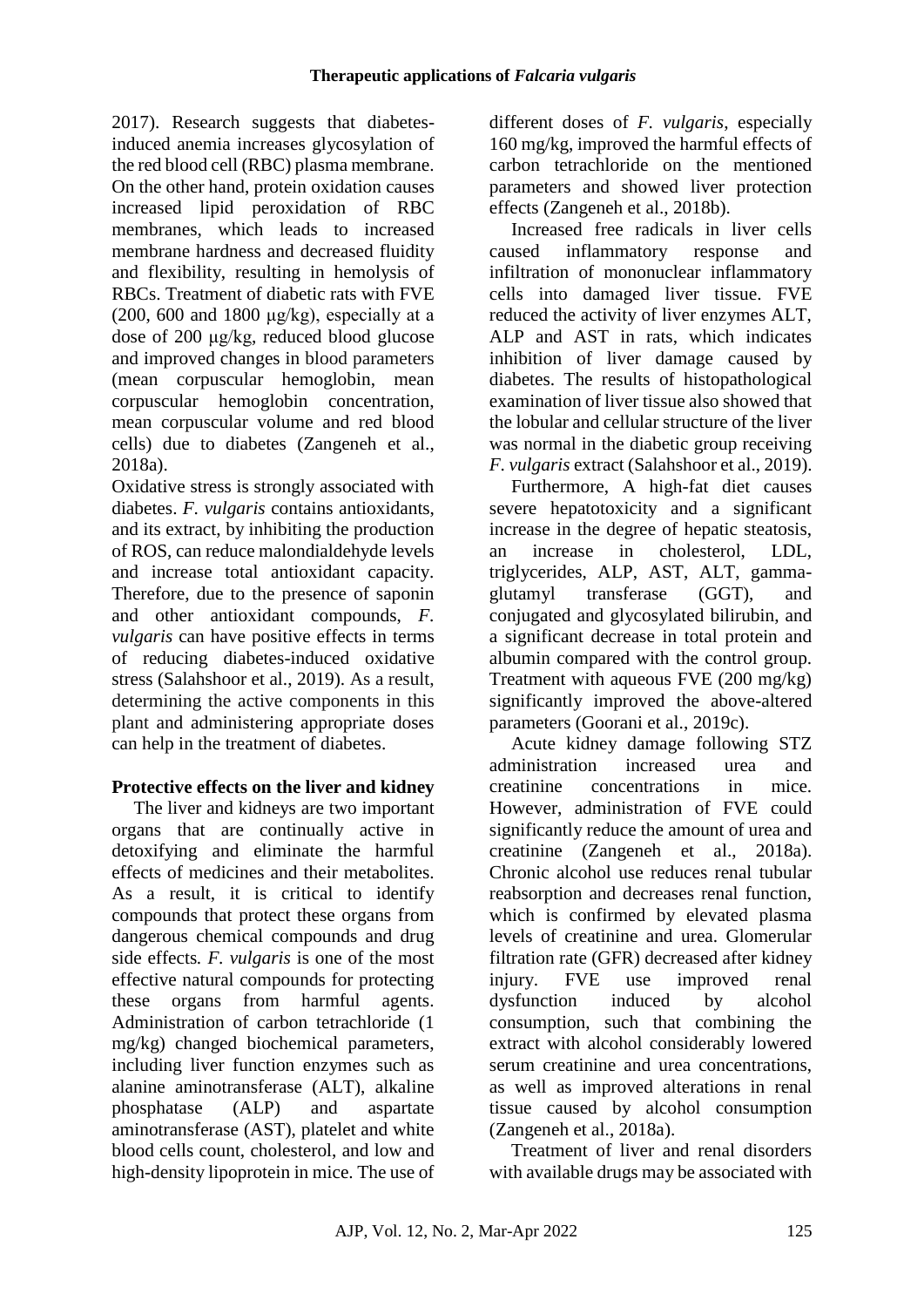2017). Research suggests that diabetesinduced anemia increases glycosylation of the red blood cell (RBC) plasma membrane. On the other hand, protein oxidation causes increased lipid peroxidation of RBC membranes, which leads to increased membrane hardness and decreased fluidity and flexibility, resulting in hemolysis of RBCs. Treatment of diabetic rats with FVE (200, 600 and 1800  $\mu$ g/kg), especially at a dose of 200 μg/kg, reduced blood glucose and improved changes in blood parameters (mean corpuscular hemoglobin, mean corpuscular hemoglobin concentration, mean corpuscular volume and red blood cells) due to diabetes (Zangeneh et al., 2018a).

Oxidative stress is strongly associated with diabetes. *F. vulgaris* contains antioxidants, and its extract, by inhibiting the production of ROS, can reduce malondialdehyde levels and increase total antioxidant capacity. Therefore, due to the presence of saponin and other antioxidant compounds, *F. vulgaris* can have positive effects in terms of reducing diabetes-induced oxidative stress (Salahshoor et al., 2019). As a result, determining the active components in this plant and administering appropriate doses can help in the treatment of diabetes.

# **Protective effects on the liver and kidney**

The liver and kidneys are two important organs that are continually active in detoxifying and eliminate the harmful effects of medicines and their metabolites. As a result, it is critical to identify compounds that protect these organs from dangerous chemical compounds and drug side effects*. F. vulgaris* is one of the most effective natural compounds for protecting these organs from harmful agents. Administration of carbon tetrachloride (1 mg/kg) changed biochemical parameters, including liver function enzymes such as alanine aminotransferase (ALT), alkaline phosphatase (ALP) and aspartate aminotransferase (AST), platelet and white blood cells count, cholesterol, and low and high-density lipoprotein in mice. The use of

different doses of *F. vulgaris*, especially 160 mg/kg, improved the harmful effects of carbon tetrachloride on the mentioned parameters and showed liver protection effects (Zangeneh et al., 2018b).

Increased free radicals in liver cells caused inflammatory response and infiltration of mononuclear inflammatory cells into damaged liver tissue. FVE reduced the activity of liver enzymes ALT, ALP and AST in rats, which indicates inhibition of liver damage caused by diabetes. The results of histopathological examination of liver tissue also showed that the lobular and cellular structure of the liver was normal in the diabetic group receiving *F. vulgaris* extract (Salahshoor et al., 2019).

Furthermore, A high-fat diet causes severe hepatotoxicity and a significant increase in the degree of hepatic steatosis, an increase in cholesterol, LDL, triglycerides, ALP, AST, ALT, gammaglutamyl transferase (GGT), and conjugated and glycosylated bilirubin, and a significant decrease in total protein and albumin compared with the control group. Treatment with aqueous FVE (200 mg/kg) significantly improved the above-altered parameters (Goorani et al., 2019c).

Acute kidney damage following STZ administration increased urea and creatinine concentrations in mice. However, administration of FVE could significantly reduce the amount of urea and creatinine (Zangeneh et al., 2018a). Chronic alcohol use reduces renal tubular reabsorption and decreases renal function, which is confirmed by elevated plasma levels of creatinine and urea. Glomerular filtration rate (GFR) decreased after kidney injury. FVE use improved renal dysfunction induced by alcohol consumption, such that combining the extract with alcohol considerably lowered serum creatinine and urea concentrations, as well as improved alterations in renal tissue caused by alcohol consumption (Zangeneh et al., 2018a).

Treatment of liver and renal disorders with available drugs may be associated with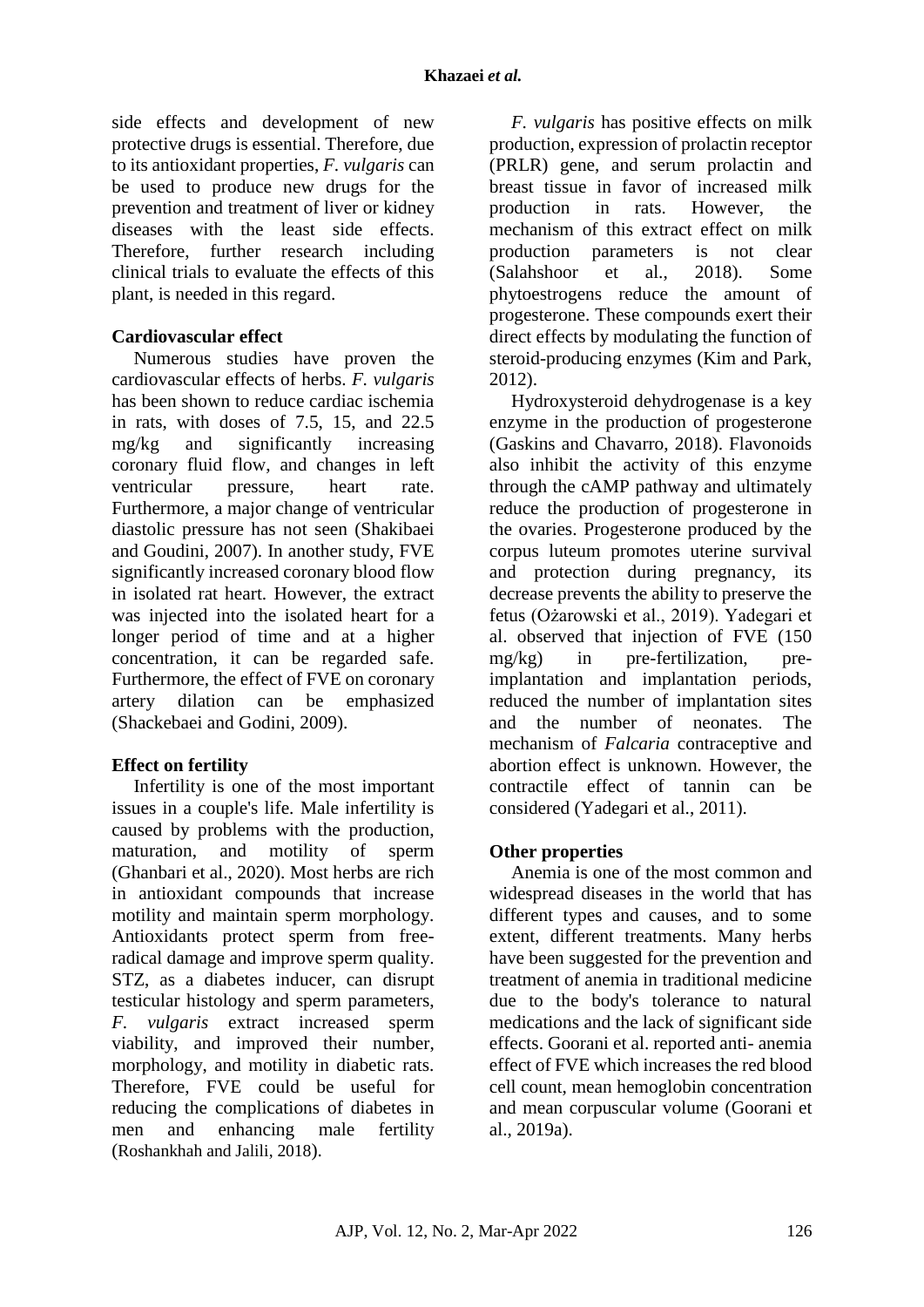side effects and development of new protective drugs is essential. Therefore, due to its antioxidant properties, *F. vulgaris* can be used to produce new drugs for the prevention and treatment of liver or kidney diseases with the least side effects. Therefore, further research including clinical trials to evaluate the effects of this plant, is needed in this regard.

## **Cardiovascular effect**

Numerous studies have proven the cardiovascular effects of herbs. *F. vulgaris* has been shown to reduce cardiac ischemia in rats, with doses of 7.5, 15, and 22.5 mg/kg and significantly increasing coronary fluid flow, and changes in left ventricular pressure, heart rate. Furthermore, a major change of ventricular diastolic pressure has not seen (Shakibaei and Goudini, 2007). In another study, FVE significantly increased coronary blood flow in isolated rat heart. However, the extract was injected into the isolated heart for a longer period of time and at a higher concentration, it can be regarded safe. Furthermore, the effect of FVE on coronary artery dilation can be emphasized (Shackebaei and Godini, 2009).

# **Effect on fertility**

Infertility is one of the most important issues in a couple's life. Male infertility is caused by problems with the production, maturation, and motility of sperm (Ghanbari et al., 2020). Most herbs are rich in antioxidant compounds that increase motility and maintain sperm morphology. Antioxidants protect sperm from freeradical damage and improve sperm quality. STZ, as a diabetes inducer, can disrupt testicular histology and sperm parameters, *F. vulgaris* extract increased sperm viability, and improved their number, morphology, and motility in diabetic rats. Therefore, FVE could be useful for reducing the complications of diabetes in men and enhancing male fertility (Roshankhah and Jalili, 2018).

*F. vulgaris* has positive effects on milk production, expression of prolactin receptor (PRLR) gene, and serum prolactin and breast tissue in favor of increased milk production in rats. However, the mechanism of this extract effect on milk production parameters is not clear (Salahshoor et al., 2018). Some phytoestrogens reduce the amount of progesterone. These compounds exert their direct effects by modulating the function of steroid-producing enzymes (Kim and Park, 2012).

Hydroxysteroid dehydrogenase is a key enzyme in the production of progesterone (Gaskins and Chavarro, 2018). Flavonoids also inhibit the activity of this enzyme through the cAMP pathway and ultimately reduce the production of progesterone in the ovaries. Progesterone produced by the corpus luteum promotes uterine survival and protection during pregnancy, its decrease prevents the ability to preserve the fetus (Ożarowski et al., 2019). Yadegari et al. observed that injection of FVE (150 mg/kg) in pre-fertilization, preimplantation and implantation periods, reduced the number of implantation sites and the number of neonates. The mechanism of *Falcaria* contraceptive and abortion effect is unknown. However, the contractile effect of tannin can be considered (Yadegari et al., 2011).

# **Other properties**

Anemia is one of the most common and widespread diseases in the world that has different types and causes, and to some extent, different treatments. Many herbs have been suggested for the prevention and treatment of anemia in traditional medicine due to the body's tolerance to natural medications and the lack of significant side effects. Goorani et al. reported anti- anemia effect of FVE which increases the red blood cell count, mean hemoglobin concentration and mean corpuscular volume (Goorani et al., 2019a).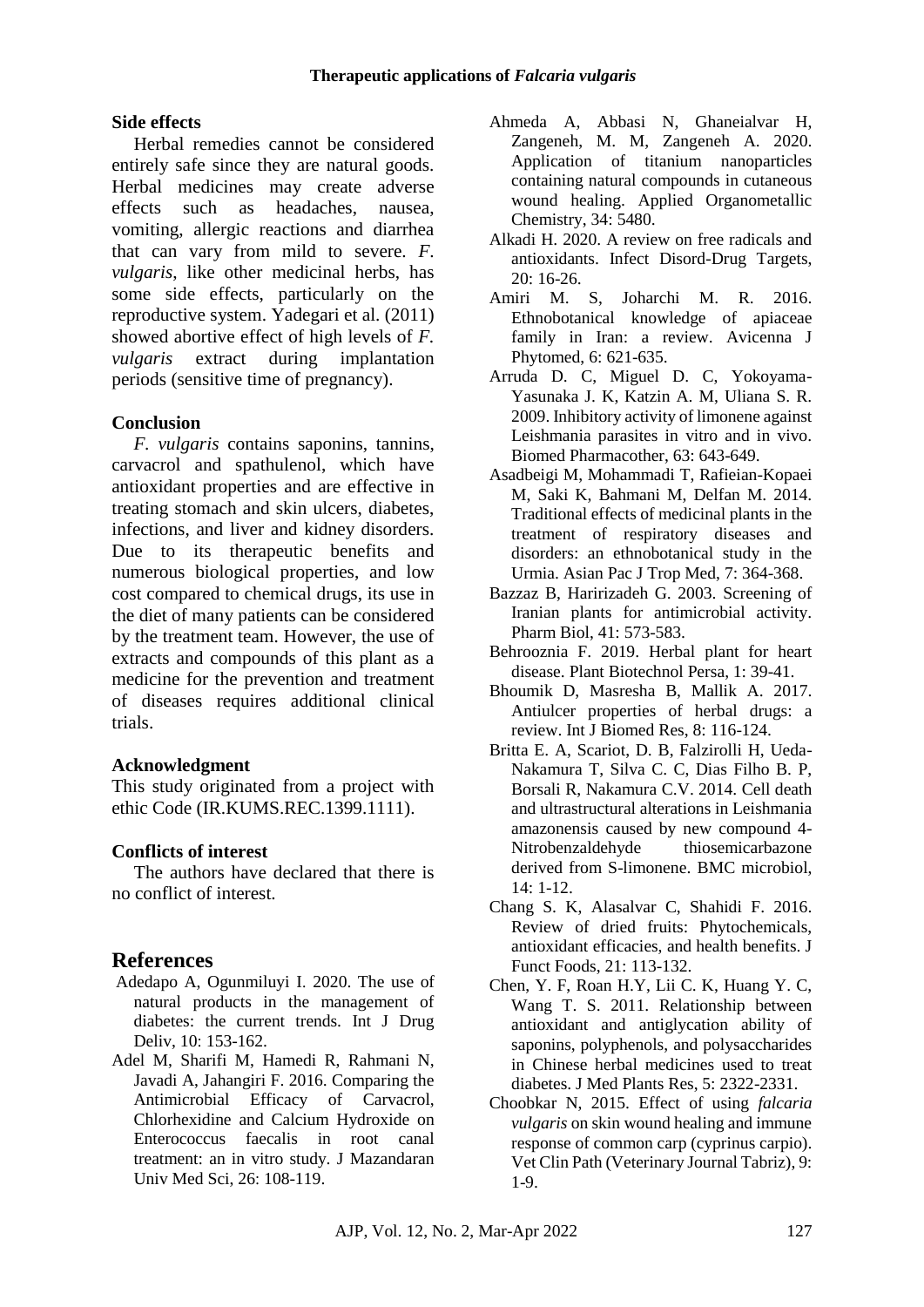## **Side effects**

Herbal remedies cannot be considered entirely safe since they are natural goods. Herbal medicines may create adverse effects such as headaches, nausea, vomiting, allergic reactions and diarrhea that can vary from mild to severe. *F. vulgaris*, like other medicinal herbs, has some side effects, particularly on the reproductive system. Yadegari et al. (2011) showed abortive effect of high levels of *F. vulgaris* extract during implantation periods (sensitive time of pregnancy).

## **Conclusion**

*F. vulgaris* contains saponins, tannins, carvacrol and spathulenol, which have antioxidant properties and are effective in treating stomach and skin ulcers, diabetes, infections, and liver and kidney disorders. Due to its therapeutic benefits and numerous biological properties, and low cost compared to chemical drugs, its use in the diet of many patients can be considered by the treatment team. However, the use of extracts and compounds of this plant as a medicine for the prevention and treatment of diseases requires additional clinical trials.

### **Acknowledgment**

This study originated from a project with ethic Code (IR.KUMS.REC.1399.1111).

### **Conflicts of interest**

The authors have declared that there is no conflict of interest.

# **References**

- Adedapo A, Ogunmiluyi I. 2020. The use of natural products in the management of diabetes: the current trends. Int J Drug Deliv, 10: 153-162.
- Adel M, Sharifi M, Hamedi R, Rahmani N, Javadi A, Jahangiri F. 2016. Comparing the Antimicrobial Efficacy of Carvacrol, Chlorhexidine and Calcium Hydroxide on Enterococcus faecalis in root canal treatment: an in vitro study. J Mazandaran Univ Med Sci, 26: 108-119.
- Ahmeda A, Abbasi N, Ghaneialvar H, Zangeneh, M. M, Zangeneh A. 2020. Application of titanium nanoparticles containing natural compounds in cutaneous wound healing. Applied Organometallic Chemistry, 34: 5480.
- Alkadi H. 2020. A review on free radicals and antioxidants. Infect Disord-Drug Targets, 20: 16-26.
- Amiri M. S, Joharchi M. R. 2016. Ethnobotanical knowledge of apiaceae family in Iran: a review. Avicenna J Phytomed, 6: 621-635.
- Arruda D. C, Miguel D. C, Yokoyama-Yasunaka J. K, Katzin A. M, Uliana S. R. 2009. Inhibitory activity of limonene against Leishmania parasites in vitro and in vivo. Biomed Pharmacother, 63: 643-649.
- Asadbeigi M, Mohammadi T, Rafieian-Kopaei M, Saki K, Bahmani M, Delfan M. 2014. Traditional effects of medicinal plants in the treatment of respiratory diseases and disorders: an ethnobotanical study in the Urmia. Asian Pac J Trop Med, 7: 364-368.
- Bazzaz B, Haririzadeh G. 2003. Screening of Iranian plants for antimicrobial activity. Pharm Biol, 41: 573-583.
- Behrooznia F. 2019. Herbal plant for heart disease. Plant Biotechnol Persa, 1: 39-41.
- Bhoumik D, Masresha B, Mallik A. 2017. Antiulcer properties of herbal drugs: a review. Int J Biomed Res, 8: 116-124.
- Britta E. A, Scariot, D. B, Falzirolli H, Ueda-Nakamura T, Silva C. C, Dias Filho B. P, Borsali R, Nakamura C.V. 2014. Cell death and ultrastructural alterations in Leishmania amazonensis caused by new compound 4- Nitrobenzaldehyde thiosemicarbazone derived from S-limonene. BMC microbiol, 14: 1-12.
- Chang S. K, Alasalvar C, Shahidi F. 2016. Review of dried fruits: Phytochemicals, antioxidant efficacies, and health benefits. J Funct Foods, 21: 113-132.
- Chen, Y. F, Roan H.Y, Lii C. K, Huang Y. C, Wang T. S. 2011. Relationship between antioxidant and antiglycation ability of saponins, polyphenols, and polysaccharides in Chinese herbal medicines used to treat diabetes. J Med Plants Res, 5: 2322-2331.
- Choobkar N, 2015. Effect of using *falcaria vulgaris* on skin wound healing and immune response of common carp (cyprinus carpio). Vet Clin Path (Veterinary Journal Tabriz), 9: 1-9.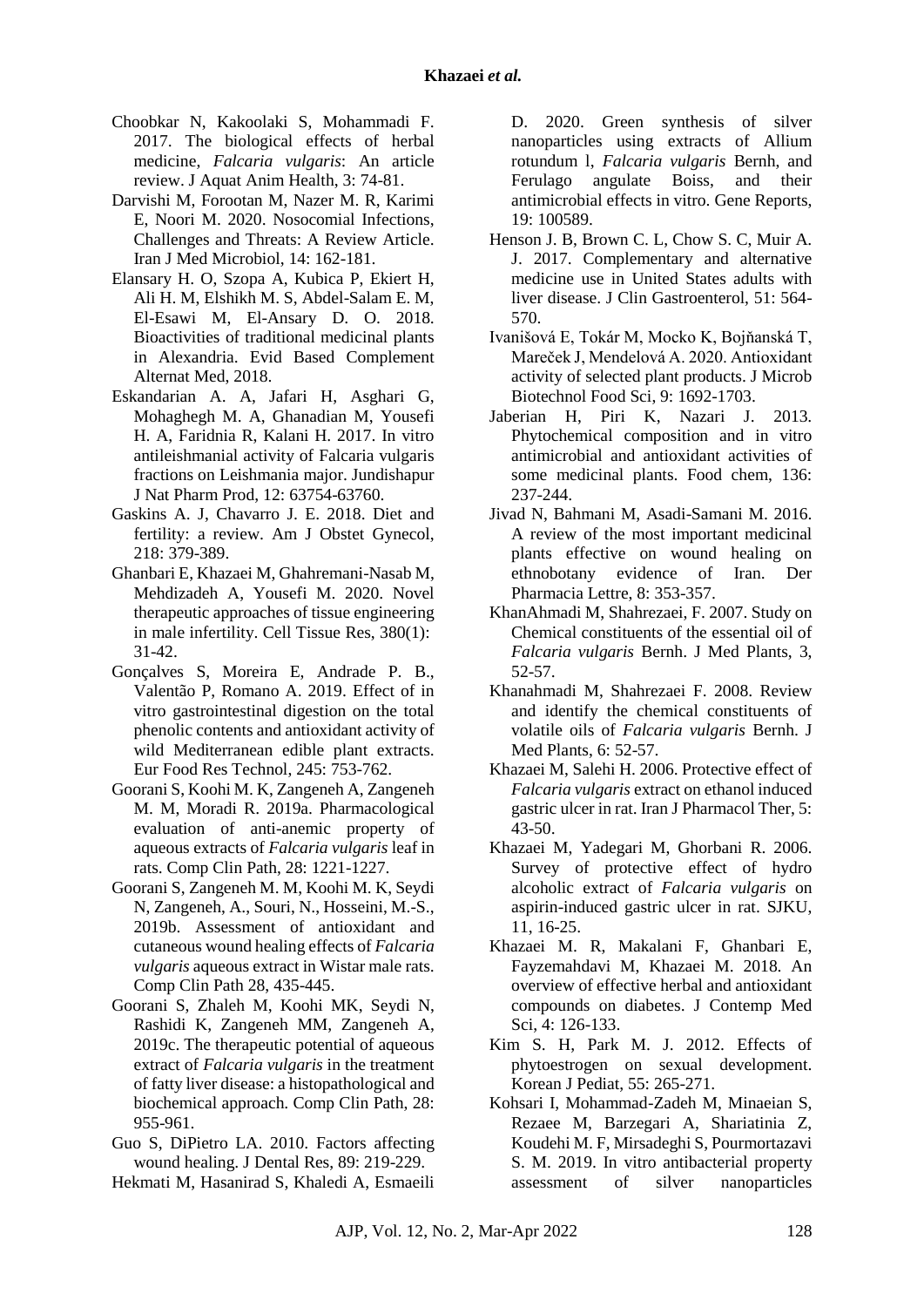- Choobkar N, Kakoolaki S, Mohammadi F. 2017. The biological effects of herbal medicine, *Falcaria vulgaris*: An article review. J Aquat Anim Health, 3: 74-81.
- Darvishi M, Forootan M, Nazer M. R, Karimi E, Noori M. 2020. Nosocomial Infections, Challenges and Threats: A Review Article. Iran J Med Microbiol, 14: 162-181.
- Elansary H. O, Szopa A, Kubica P, Ekiert H, Ali H. M, Elshikh M. S, Abdel-Salam E. M, El-Esawi M, El-Ansary D. O. 2018. Bioactivities of traditional medicinal plants in Alexandria. Evid Based Complement Alternat Med, 2018.
- Eskandarian A. A, Jafari H, Asghari G, Mohaghegh M. A, Ghanadian M, Yousefi H. A, Faridnia R, Kalani H. 2017. In vitro antileishmanial activity of Falcaria vulgaris fractions on Leishmania major. Jundishapur J Nat Pharm Prod, 12: 63754-63760.
- Gaskins A. J, Chavarro J. E. 2018. Diet and fertility: a review. Am J Obstet Gynecol, 218: 379-389.
- Ghanbari E, Khazaei M, Ghahremani-Nasab M, Mehdizadeh A, Yousefi M. 2020. Novel therapeutic approaches of tissue engineering in male infertility. Cell Tissue Res, 380(1): 31-42.
- Gonçalves S, Moreira E, Andrade P. B., Valentão P, Romano A. 2019. Effect of in vitro gastrointestinal digestion on the total phenolic contents and antioxidant activity of wild Mediterranean edible plant extracts. Eur Food Res Technol, 245: 753-762.
- Goorani S, Koohi M. K, Zangeneh A, Zangeneh M. M, Moradi R. 2019a. Pharmacological evaluation of anti-anemic property of aqueous extracts of *Falcaria vulgaris* leaf in rats. Comp Clin Path, 28: 1221-1227.
- Goorani S, Zangeneh M. M, Koohi M. K, Seydi N, Zangeneh, A., Souri, N., Hosseini, M.-S., 2019b. Assessment of antioxidant and cutaneous wound healing effects of *Falcaria vulgaris* aqueous extract in Wistar male rats. Comp Clin Path 28, 435-445.
- Goorani S, Zhaleh M, Koohi MK, Seydi N, Rashidi K, Zangeneh MM, Zangeneh A, 2019c. The therapeutic potential of aqueous extract of *Falcaria vulgaris* in the treatment of fatty liver disease: a histopathological and biochemical approach. Comp Clin Path, 28: 955-961.
- Guo S, DiPietro LA. 2010. Factors affecting wound healing. J Dental Res, 89: 219-229.
- Hekmati M, Hasanirad S, Khaledi A, Esmaeili

D. 2020. Green synthesis of silver nanoparticles using extracts of Allium rotundum l, *Falcaria vulgaris* Bernh, and Ferulago angulate Boiss, and their antimicrobial effects in vitro. Gene Reports, 19: 100589.

- Henson J. B, Brown C. L, Chow S. C, Muir A. J. 2017. Complementary and alternative medicine use in United States adults with liver disease. J Clin Gastroenterol, 51: 564- 570.
- Ivanišová E, Tokár M, Mocko K, Bojňanská T, Mareček J, Mendelová A. 2020. Antioxidant activity of selected plant products. J Microb Biotechnol Food Sci, 9: 1692-1703.
- Jaberian H, Piri K, Nazari J. 2013. Phytochemical composition and in vitro antimicrobial and antioxidant activities of some medicinal plants. Food chem, 136: 237-244.
- Jivad N, Bahmani M, Asadi-Samani M. 2016. A review of the most important medicinal plants effective on wound healing on ethnobotany evidence of Iran. Der Pharmacia Lettre, 8: 353-357.
- KhanAhmadi M, Shahrezaei, F. 2007. Study on Chemical constituents of the essential oil of *Falcaria vulgaris* Bernh. J Med Plants, 3, 52-57.
- Khanahmadi M, Shahrezaei F. 2008. Review and identify the chemical constituents of volatile oils of *Falcaria vulgaris* Bernh. J Med Plants, 6: 52-57.
- Khazaei M, Salehi H. 2006. Protective effect of *Falcaria vulgaris* extract on ethanol induced gastric ulcer in rat. Iran J Pharmacol Ther, 5: 43-50.
- Khazaei M, Yadegari M, Ghorbani R. 2006. Survey of protective effect of hydro alcoholic extract of *Falcaria vulgaris* on aspirin-induced gastric ulcer in rat. SJKU, 11, 16-25.
- Khazaei M. R, Makalani F, Ghanbari E, Fayzemahdavi M, Khazaei M. 2018. An overview of effective herbal and antioxidant compounds on diabetes. J Contemp Med Sci, 4: 126-133.
- Kim S. H, Park M. J. 2012. Effects of phytoestrogen on sexual development. Korean J Pediat, 55: 265-271.
- Kohsari I, Mohammad-Zadeh M, Minaeian S, Rezaee M, Barzegari A, Shariatinia Z, Koudehi M. F, Mirsadeghi S, Pourmortazavi S. M. 2019. In vitro antibacterial property assessment of silver nanoparticles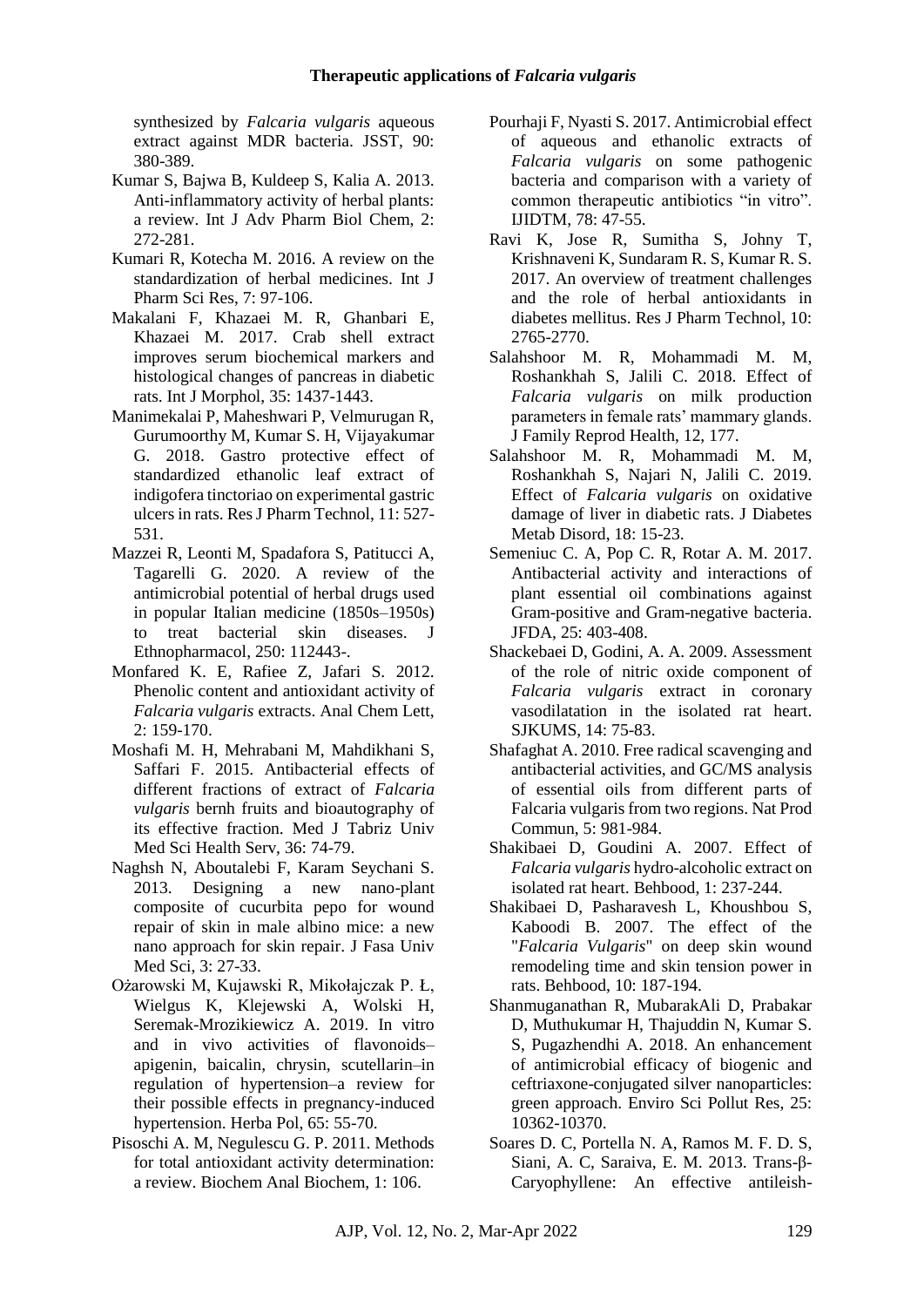synthesized by *Falcaria vulgaris* aqueous extract against MDR bacteria. JSST, 90: 380-389.

- Kumar S, Bajwa B, Kuldeep S, Kalia A. 2013. Anti-inflammatory activity of herbal plants: a review. Int J Adv Pharm Biol Chem, 2: 272-281.
- Kumari R, Kotecha M. 2016. A review on the standardization of herbal medicines. Int J Pharm Sci Res, 7: 97-106.
- Makalani F, Khazaei M. R, Ghanbari E, Khazaei M. 2017. Crab shell extract improves serum biochemical markers and histological changes of pancreas in diabetic rats. Int J Morphol, 35: 1437-1443.
- Manimekalai P, Maheshwari P, Velmurugan R, Gurumoorthy M, Kumar S. H, Vijayakumar G. 2018. Gastro protective effect of standardized ethanolic leaf extract of indigofera tinctoriao on experimental gastric ulcers in rats. Res J Pharm Technol, 11: 527- 531.
- Mazzei R, Leonti M, Spadafora S, Patitucci A, Tagarelli G. 2020. A review of the antimicrobial potential of herbal drugs used in popular Italian medicine (1850s–1950s) to treat bacterial skin diseases. J Ethnopharmacol, 250: 112443-.
- Monfared K. E, Rafiee Z, Jafari S. 2012. Phenolic content and antioxidant activity of *Falcaria vulgaris* extracts. Anal Chem Lett, 2: 159-170.
- Moshafi M. H, Mehrabani M, Mahdikhani S, Saffari F. 2015. Antibacterial effects of different fractions of extract of *Falcaria vulgaris* bernh fruits and bioautography of its effective fraction. Med J Tabriz Univ Med Sci Health Serv, 36: 74-79.
- Naghsh N, Aboutalebi F, Karam Seychani S. 2013. Designing a new nano-plant composite of cucurbita pepo for wound repair of skin in male albino mice: a new nano approach for skin repair. J Fasa Univ Med Sci, 3: 27-33.
- Ożarowski M, Kujawski R, Mikołajczak P. Ł, Wielgus K, Klejewski A, Wolski H, Seremak-Mrozikiewicz A. 2019. In vitro and in vivo activities of flavonoids– apigenin, baicalin, chrysin, scutellarin–in regulation of hypertension–a review for their possible effects in pregnancy-induced hypertension. Herba Pol, 65: 55-70.
- Pisoschi A. M, Negulescu G. P. 2011. Methods for total antioxidant activity determination: a review. Biochem Anal Biochem, 1: 106.
- Pourhaji F, Nyasti S. 2017. Antimicrobial effect of aqueous and ethanolic extracts of *Falcaria vulgaris* on some pathogenic bacteria and comparison with a variety of common therapeutic antibiotics "in vitro". IJIDTM, 78: 47-55.
- Ravi K, Jose R, Sumitha S, Johny T, Krishnaveni K, Sundaram R. S, Kumar R. S. 2017. An overview of treatment challenges and the role of herbal antioxidants in diabetes mellitus. Res J Pharm Technol, 10: 2765-2770.
- Salahshoor M. R, Mohammadi M. M, Roshankhah S, Jalili C. 2018. Effect of *Falcaria vulgaris* on milk production parameters in female rats' mammary glands. J Family Reprod Health, 12, 177.
- Salahshoor M. R, Mohammadi M. M, Roshankhah S, Najari N, Jalili C. 2019. Effect of *Falcaria vulgaris* on oxidative damage of liver in diabetic rats. J Diabetes Metab Disord, 18: 15-23.
- Semeniuc C. A, Pop C. R, Rotar A. M. 2017. Antibacterial activity and interactions of plant essential oil combinations against Gram-positive and Gram-negative bacteria. JFDA, 25: 403-408.
- Shackebaei D, Godini, A. A. 2009. Assessment of the role of nitric oxide component of *Falcaria vulgaris* extract in coronary vasodilatation in the isolated rat heart. SJKUMS, 14: 75-83.
- Shafaghat A. 2010. Free radical scavenging and antibacterial activities, and GC/MS analysis of essential oils from different parts of Falcaria vulgaris from two regions. Nat Prod Commun, 5: 981-984.
- Shakibaei D, Goudini A. 2007. Effect of *Falcaria vulgaris* hydro-alcoholic extract on isolated rat heart. Behbood, 1: 237-244.
- Shakibaei D, Pasharavesh L, Khoushbou S, Kaboodi B. 2007. The effect of the "*Falcaria Vulgaris*" on deep skin wound remodeling time and skin tension power in rats. Behbood, 10: 187-194.
- Shanmuganathan R, MubarakAli D, Prabakar D, Muthukumar H, Thajuddin N, Kumar S. S, Pugazhendhi A. 2018. An enhancement of antimicrobial efficacy of biogenic and ceftriaxone-conjugated silver nanoparticles: green approach. Enviro Sci Pollut Res, 25: 10362-10370.
- Soares D. C, Portella N. A, Ramos M. F. D. S, Siani, A. C, Saraiva, E. M. 2013. Trans-β-Caryophyllene: An effective antileish-